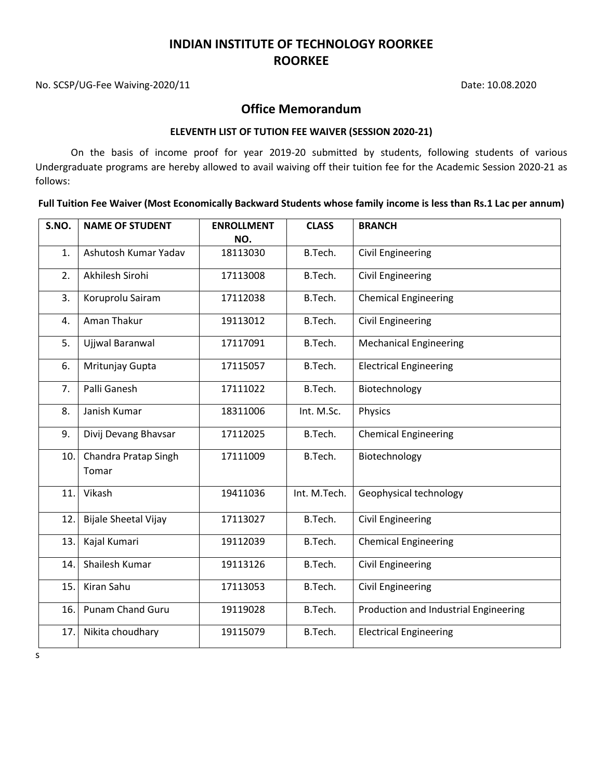No. SCSP/UG-Fee Waiving-2020/11 Date: 10.08.2020

### **Office Memorandum**

#### **ELEVENTH LIST OF TUTION FEE WAIVER (SESSION 2020-21)**

On the basis of income proof for year 2019-20 submitted by students, following students of various Undergraduate programs are hereby allowed to avail waiving off their tuition fee for the Academic Session 2020-21 as follows:

**Full Tuition Fee Waiver (Most Economically Backward Students whose family income is less than Rs.1 Lac per annum)**

| S.NO. | <b>NAME OF STUDENT</b>        | <b>ENROLLMENT</b><br>NO. | <b>CLASS</b> | <b>BRANCH</b>                         |
|-------|-------------------------------|--------------------------|--------------|---------------------------------------|
| 1.    | Ashutosh Kumar Yadav          | 18113030                 | B.Tech.      | <b>Civil Engineering</b>              |
| 2.    | Akhilesh Sirohi               | 17113008                 | B.Tech.      | <b>Civil Engineering</b>              |
| 3.    | Koruprolu Sairam              | 17112038                 | B.Tech.      | <b>Chemical Engineering</b>           |
| 4.    | Aman Thakur                   | 19113012                 | B.Tech.      | <b>Civil Engineering</b>              |
| 5.    | Ujjwal Baranwal               | 17117091                 | B.Tech.      | <b>Mechanical Engineering</b>         |
| 6.    | Mritunjay Gupta               | 17115057                 | B.Tech.      | <b>Electrical Engineering</b>         |
| 7.    | Palli Ganesh                  | 17111022                 | B.Tech.      | Biotechnology                         |
| 8.    | Janish Kumar                  | 18311006                 | Int. M.Sc.   | Physics                               |
| 9.    | Divij Devang Bhavsar          | 17112025                 | B.Tech.      | <b>Chemical Engineering</b>           |
| 10.   | Chandra Pratap Singh<br>Tomar | 17111009                 | B.Tech.      | Biotechnology                         |
| 11.   | Vikash                        | 19411036                 | Int. M.Tech. | Geophysical technology                |
| 12.   | <b>Bijale Sheetal Vijay</b>   | 17113027                 | B.Tech.      | <b>Civil Engineering</b>              |
| 13.   | Kajal Kumari                  | 19112039                 | B.Tech.      | <b>Chemical Engineering</b>           |
| 14.   | Shailesh Kumar                | 19113126                 | B.Tech.      | Civil Engineering                     |
| 15.   | Kiran Sahu                    | 17113053                 | B.Tech.      | <b>Civil Engineering</b>              |
| 16.   | Punam Chand Guru              | 19119028                 | B.Tech.      | Production and Industrial Engineering |
| 17.   | Nikita choudhary              | 19115079                 | B.Tech.      | <b>Electrical Engineering</b>         |

s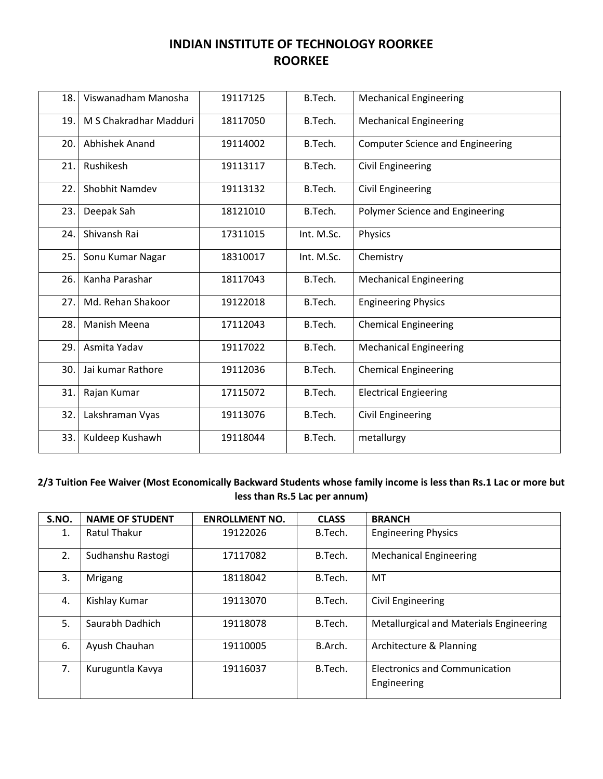| 18. | Viswanadham Manosha    | 19117125 | B.Tech.    | <b>Mechanical Engineering</b>           |
|-----|------------------------|----------|------------|-----------------------------------------|
| 19. | M S Chakradhar Madduri | 18117050 | B.Tech.    | <b>Mechanical Engineering</b>           |
| 20. | Abhishek Anand         | 19114002 | B.Tech.    | <b>Computer Science and Engineering</b> |
| 21. | Rushikesh              | 19113117 | B.Tech.    | <b>Civil Engineering</b>                |
| 22. | Shobhit Namdev         | 19113132 | B.Tech.    | <b>Civil Engineering</b>                |
| 23. | Deepak Sah             | 18121010 | B.Tech.    | Polymer Science and Engineering         |
| 24. | Shivansh Rai           | 17311015 | Int. M.Sc. | Physics                                 |
| 25. | Sonu Kumar Nagar       | 18310017 | Int. M.Sc. | Chemistry                               |
| 26. | Kanha Parashar         | 18117043 | B.Tech.    | <b>Mechanical Engineering</b>           |
| 27. | Md. Rehan Shakoor      | 19122018 | B.Tech.    | <b>Engineering Physics</b>              |
| 28. | Manish Meena           | 17112043 | B.Tech.    | <b>Chemical Engineering</b>             |
| 29. | Asmita Yadav           | 19117022 | B.Tech.    | <b>Mechanical Engineering</b>           |
| 30. | Jai kumar Rathore      | 19112036 | B.Tech.    | <b>Chemical Engineering</b>             |
| 31. | Rajan Kumar            | 17115072 | B.Tech.    | <b>Electrical Engieering</b>            |
| 32. | Lakshraman Vyas        | 19113076 | B.Tech.    | <b>Civil Engineering</b>                |
| 33. | Kuldeep Kushawh        | 19118044 | B.Tech.    | metallurgy                              |

### **2/3 Tuition Fee Waiver (Most Economically Backward Students whose family income is less than Rs.1 Lac or more but less than Rs.5 Lac per annum)**

| S.NO. | <b>NAME OF STUDENT</b> | <b>ENROLLMENT NO.</b> | <b>CLASS</b> | <b>BRANCH</b>                                       |
|-------|------------------------|-----------------------|--------------|-----------------------------------------------------|
| 1.    | Ratul Thakur           | 19122026              | B.Tech.      | <b>Engineering Physics</b>                          |
| 2.    | Sudhanshu Rastogi      | 17117082              | B.Tech.      | <b>Mechanical Engineering</b>                       |
| 3.    | <b>Mrigang</b>         | 18118042              | B.Tech.      | MT                                                  |
| 4.    | Kishlay Kumar          | 19113070              | B.Tech.      | Civil Engineering                                   |
| 5.    | Saurabh Dadhich        | 19118078              | B.Tech.      | <b>Metallurgical and Materials Engineering</b>      |
| 6.    | Ayush Chauhan          | 19110005              | B.Arch.      | Architecture & Planning                             |
| 7.    | Kuruguntla Kavya       | 19116037              | B.Tech.      | <b>Electronics and Communication</b><br>Engineering |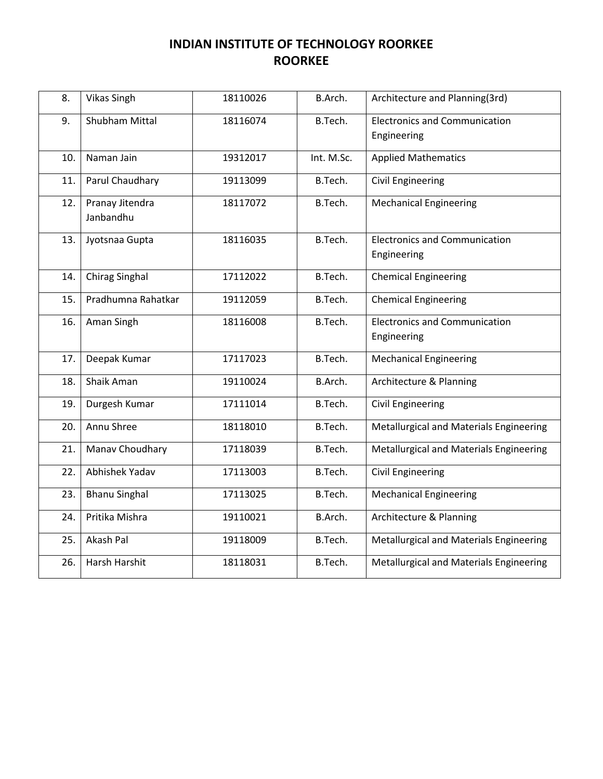| 8.  | <b>Vikas Singh</b>           | 18110026 | B.Arch.    | Architecture and Planning(3rd)                      |
|-----|------------------------------|----------|------------|-----------------------------------------------------|
| 9.  | <b>Shubham Mittal</b>        | 18116074 | B.Tech.    | <b>Electronics and Communication</b><br>Engineering |
| 10. | Naman Jain                   | 19312017 | Int. M.Sc. | <b>Applied Mathematics</b>                          |
| 11. | Parul Chaudhary              | 19113099 | B.Tech.    | <b>Civil Engineering</b>                            |
| 12. | Pranay Jitendra<br>Janbandhu | 18117072 | B.Tech.    | <b>Mechanical Engineering</b>                       |
| 13. | Jyotsnaa Gupta               | 18116035 | B.Tech.    | <b>Electronics and Communication</b><br>Engineering |
| 14. | <b>Chirag Singhal</b>        | 17112022 | B.Tech.    | <b>Chemical Engineering</b>                         |
| 15. | Pradhumna Rahatkar           | 19112059 | B.Tech.    | <b>Chemical Engineering</b>                         |
| 16. | Aman Singh                   | 18116008 | B.Tech.    | <b>Electronics and Communication</b><br>Engineering |
| 17. | Deepak Kumar                 | 17117023 | B.Tech.    | <b>Mechanical Engineering</b>                       |
| 18. | Shaik Aman                   | 19110024 | B.Arch.    | Architecture & Planning                             |
| 19. | Durgesh Kumar                | 17111014 | B.Tech.    | <b>Civil Engineering</b>                            |
| 20. | Annu Shree                   | 18118010 | B.Tech.    | Metallurgical and Materials Engineering             |
| 21. | Manav Choudhary              | 17118039 | B.Tech.    | Metallurgical and Materials Engineering             |
| 22. | Abhishek Yadav               | 17113003 | B.Tech.    | <b>Civil Engineering</b>                            |
| 23. | <b>Bhanu Singhal</b>         | 17113025 | B.Tech.    | <b>Mechanical Engineering</b>                       |
| 24. | Pritika Mishra               | 19110021 | B.Arch.    | Architecture & Planning                             |
| 25. | Akash Pal                    | 19118009 | B.Tech.    | Metallurgical and Materials Engineering             |
| 26. | Harsh Harshit                | 18118031 | B.Tech.    | Metallurgical and Materials Engineering             |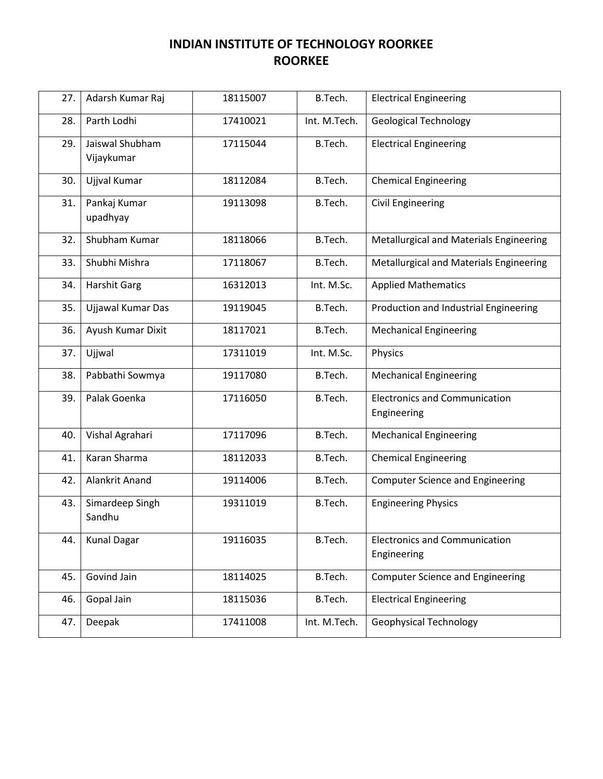| 27. | Adarsh Kumar Raj    | 18115007 | B.Tech.      | <b>Electrical Engineering</b>           |
|-----|---------------------|----------|--------------|-----------------------------------------|
| 28. | Parth Lodhi         | 17410021 | Int. M.Tech. | <b>Geological Technology</b>            |
| 29. | Jaiswal Shubham     | 17115044 | B.Tech.      | <b>Electrical Engineering</b>           |
|     | Vijaykumar          |          |              |                                         |
| 30. | Ujjval Kumar        | 18112084 | B.Tech.      | <b>Chemical Engineering</b>             |
| 31. | Pankaj Kumar        | 19113098 | B.Tech.      | <b>Civil Engineering</b>                |
|     | upadhyay            |          |              |                                         |
| 32. | Shubham Kumar       | 18118066 | B.Tech.      | Metallurgical and Materials Engineering |
| 33. | Shubhi Mishra       | 17118067 | B.Tech.      | Metallurgical and Materials Engineering |
| 34. | <b>Harshit Garg</b> | 16312013 | Int. M.Sc.   | <b>Applied Mathematics</b>              |
| 35. | Ujjawal Kumar Das   | 19119045 | B.Tech.      | Production and Industrial Engineering   |
| 36. | Ayush Kumar Dixit   | 18117021 | B.Tech.      | <b>Mechanical Engineering</b>           |
| 37. | Ujjwal              | 17311019 | Int. M.Sc.   | Physics                                 |
| 38. | Pabbathi Sowmya     | 19117080 | B.Tech.      | <b>Mechanical Engineering</b>           |
| 39. | Palak Goenka        | 17116050 | B.Tech.      | <b>Electronics and Communication</b>    |
|     |                     |          |              | Engineering                             |
| 40. | Vishal Agrahari     | 17117096 | B.Tech.      | <b>Mechanical Engineering</b>           |
| 41. | Karan Sharma        | 18112033 | B.Tech.      | <b>Chemical Engineering</b>             |
| 42. | Alankrit Anand      | 19114006 | B.Tech.      | <b>Computer Science and Engineering</b> |
| 43. | Simardeep Singh     | 19311019 | B.Tech.      | <b>Engineering Physics</b>              |
|     | Sandhu              |          |              |                                         |
| 44. | <b>Kunal Dagar</b>  | 19116035 | B.Tech.      | <b>Electronics and Communication</b>    |
|     |                     |          |              | Engineering                             |
| 45. | Govind Jain         | 18114025 | B.Tech.      | <b>Computer Science and Engineering</b> |
| 46. | Gopal Jain          | 18115036 | B.Tech.      | <b>Electrical Engineering</b>           |
| 47. | Deepak              | 17411008 | Int. M.Tech. | <b>Geophysical Technology</b>           |